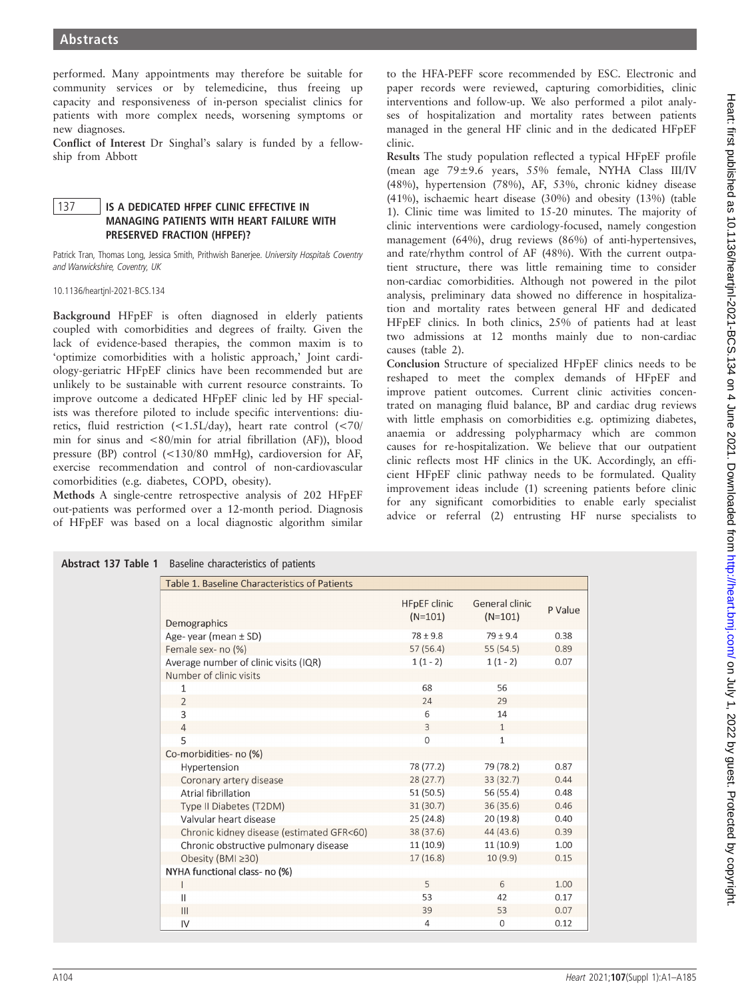performed. Many appointments may therefore be suitable for community services or by telemedicine, thus freeing up capacity and responsiveness of in-person specialist clinics for patients with more complex needs, worsening symptoms or new diagnoses.

Conflict of Interest Dr Singhal's salary is funded by a fellowship from Abbott

## 137 | IS A DEDICATED HFPEF CLINIC EFFECTIVE IN MANAGING PATIENTS WITH HEART FAILURE WITH PRESERVED FRACTION (HFPEF)?

Patrick Tran, Thomas Long, Jessica Smith, Prithwish Banerjee. University Hospitals Coventry and Warwickshire, Coventry, UK

10.1136/heartjnl-2021-BCS.134

Background HFpEF is often diagnosed in elderly patients coupled with comorbidities and degrees of frailty. Given the lack of evidence-based therapies, the common maxim is to 'optimize comorbidities with a holistic approach,' Joint cardiology-geriatric HFpEF clinics have been recommended but are unlikely to be sustainable with current resource constraints. To improve outcome a dedicated HFpEF clinic led by HF specialists was therefore piloted to include specific interventions: diuretics, fluid restriction (<1.5L/day), heart rate control (<70/ min for sinus and <80/min for atrial fibrillation (AF)), blood pressure (BP) control (<130/80 mmHg), cardioversion for AF, exercise recommendation and control of non-cardiovascular comorbidities (e.g. diabetes, COPD, obesity).

Methods A single-centre retrospective analysis of 202 HFpEF out-patients was performed over a 12-month period. Diagnosis of HFpEF was based on a local diagnostic algorithm similar

to the HFA-PEFF score recommended by ESC. Electronic and paper records were reviewed, capturing comorbidities, clinic interventions and follow-up. We also performed a pilot analyses of hospitalization and mortality rates between patients managed in the general HF clinic and in the dedicated HFpEF clinic.

Results The study population reflected a typical HFpEF profile (mean age 79±9.6 years, 55% female, NYHA Class III/IV (48%), hypertension (78%), AF, 53%, chronic kidney disease (41%), ischaemic heart disease (30%) and obesity (13%) (table 1). Clinic time was limited to 15-20 minutes. The majority of clinic interventions were cardiology-focused, namely congestion management (64%), drug reviews (86%) of anti-hypertensives, and rate/rhythm control of AF (48%). With the current outpatient structure, there was little remaining time to consider non-cardiac comorbidities. Although not powered in the pilot analysis, preliminary data showed no difference in hospitalization and mortality rates between general HF and dedicated HFpEF clinics. In both clinics, 25% of patients had at least two admissions at 12 months mainly due to non-cardiac causes (table 2).

Conclusion Structure of specialized HFpEF clinics needs to be reshaped to meet the complex demands of HFpEF and improve patient outcomes. Current clinic activities concentrated on managing fluid balance, BP and cardiac drug reviews with little emphasis on comorbidities e.g. optimizing diabetes, anaemia or addressing polypharmacy which are common causes for re-hospitalization. We believe that our outpatient clinic reflects most HF clinics in the UK. Accordingly, an efficient HFpEF clinic pathway needs to be formulated. Quality improvement ideas include (1) screening patients before clinic for any significant comorbidities to enable early specialist advice or referral (2) entrusting HF nurse specialists to

| <b>ADSUBCL 137 Table 1</b> Dasellife Characteristics of patients |                                  |                             |         |
|------------------------------------------------------------------|----------------------------------|-----------------------------|---------|
| Table 1. Baseline Characteristics of Patients                    |                                  |                             |         |
| Demographics                                                     | <b>HFpEF</b> clinic<br>$(N=101)$ | General clinic<br>$(N=101)$ | P Value |
| Age-year (mean $\pm$ SD)                                         | $78 \pm 9.8$                     | $79 \pm 9.4$                | 0.38    |
| Female sex- no (%)                                               | 57(56.4)                         | 55(54.5)                    | 0.89    |
| Average number of clinic visits (IQR)                            | $1(1-2)$                         | $1(1-2)$                    | 0.07    |
| Number of clinic visits                                          |                                  |                             |         |
| 1                                                                | 68                               | 56                          |         |
| $\overline{2}$                                                   | 24                               | 29                          |         |
| 3                                                                | 6                                | 14                          |         |
| $\overline{4}$                                                   | 3                                | $\mathbf{1}$                |         |
| 5                                                                | 0                                | 1                           |         |
| Co-morbidities- no (%)                                           |                                  |                             |         |
| Hypertension                                                     | 78 (77.2)                        | 79 (78.2)                   | 0.87    |
| Coronary artery disease                                          | 28(27.7)                         | 33(32.7)                    | 0.44    |
| Atrial fibrillation                                              | 51 (50.5)                        | 56 (55.4)                   | 0.48    |
| Type II Diabetes (T2DM)                                          | 31(30.7)                         | 36(35.6)                    | 0.46    |
| Valvular heart disease                                           | 25(24.8)                         | 20(19.8)                    | 0.40    |
| Chronic kidney disease (estimated GFR<60)                        | 38 (37.6)                        | 44 (43.6)                   | 0.39    |
| Chronic obstructive pulmonary disease                            | 11(10.9)                         | 11(10.9)                    | 1.00    |
| Obesity (BMI ≥30)                                                | 17(16.8)                         | 10(9.9)                     | 0.15    |
| NYHA functional class- no (%)                                    |                                  |                             |         |
|                                                                  | 5                                | 6                           | 1.00    |
| Ш                                                                | 53                               | 42                          | 0.17    |
| 111                                                              | 20                               | <b>C<sub>2</sub></b>        | 0.07    |

 $\overline{4}$ 

 $\overline{0}$ 

 $0.12$ 

|  |  | Abstract 137 Table 1 Baseline characteristics of patients |  |
|--|--|-----------------------------------------------------------|--|
|  |  |                                                           |  |

 $\overline{N}$